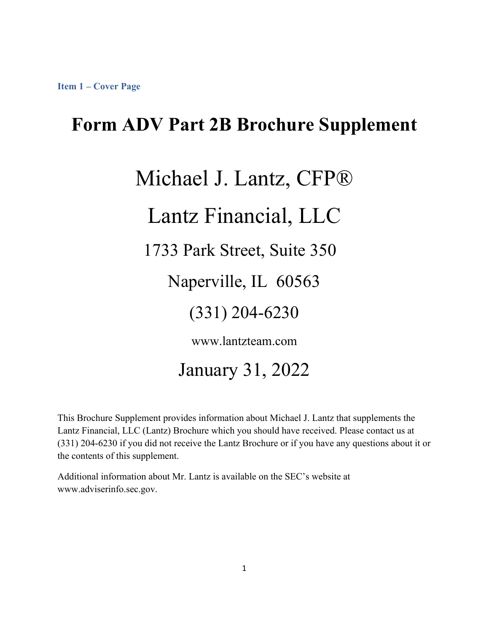### **Form ADV Part 2B Brochure Supplement**

# Michael J. Lantz, CFP® Lantz Financial, LLC 1733 Park Street, Suite 350 Naperville, IL 60563

(331) 204-6230

www.lantzteam.com

January 31, 2022

This Brochure Supplement provides information about Michael J. Lantz that supplements the Lantz Financial, LLC (Lantz) Brochure which you should have received. Please contact us at (331) 204-6230 if you did not receive the Lantz Brochure or if you have any questions about it or the contents of this supplement.

Additional information about Mr. Lantz is available on the SEC's website at www.adviserinfo.sec.gov.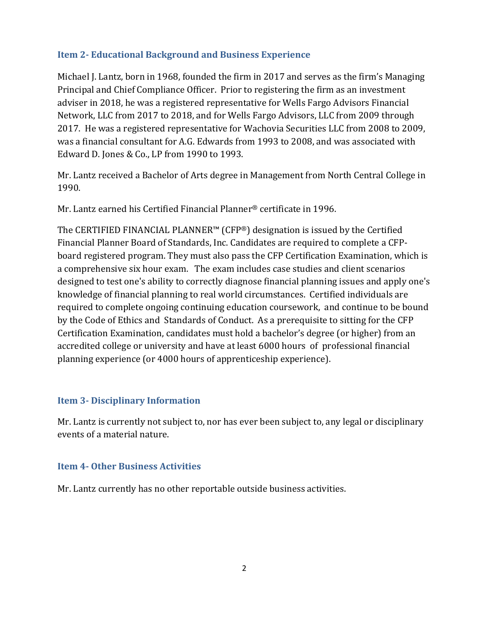### **Item 2‐ Educational Background and Business Experience**

Michael J. Lantz, born in 1968, founded the firm in 2017 and serves as the firm's Managing Principal and Chief Compliance Officer. Prior to registering the firm as an investment adviser in 2018, he was a registered representative for Wells Fargo Advisors Financial Network, LLC from 2017 to 2018, and for Wells Fargo Advisors, LLC from 2009 through 2017. He was a registered representative for Wachovia Securities LLC from 2008 to 2009, was a financial consultant for A.G. Edwards from 1993 to 2008, and was associated with Edward D. Jones & Co., LP from 1990 to 1993.

Mr. Lantz received a Bachelor of Arts degree in Management from North Central College in 1990.

Mr. Lantz earned his Certified Financial Planner® certificate in 1996.

The CERTIFIED FINANCIAL PLANNER™ (CFP®) designation is issued by the Certified Financial Planner Board of Standards, Inc. Candidates are required to complete a CFPboard registered program. They must also pass the CFP Certification Examination, which is a comprehensive six hour exam. The exam includes case studies and client scenarios designed to test one's ability to correctly diagnose financial planning issues and apply one's knowledge of financial planning to real world circumstances. Certified individuals are required to complete ongoing continuing education coursework, and continue to be bound by the Code of Ethics and Standards of Conduct. As a prerequisite to sitting for the CFP Certification Examination, candidates must hold a bachelor's degree (or higher) from an accredited college or university and have at least 6000 hours of professional financial planning experience (or 4000 hours of apprenticeship experience).

### **Item 3‐ Disciplinary Information**

Mr. Lantz is currently not subject to, nor has ever been subject to, any legal or disciplinary events of a material nature.

### **Item 4‐ Other Business Activities**

Mr. Lantz currently has no other reportable outside business activities.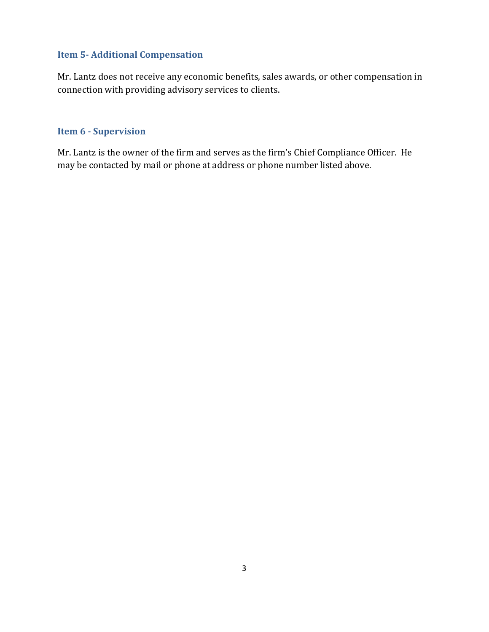### **Item 5‐ Additional Compensation**

Mr. Lantz does not receive any economic benefits, sales awards, or other compensation in connection with providing advisory services to clients.

#### **Item 6 - Supervision**

Mr. Lantz is the owner of the firm and serves as the firm's Chief Compliance Officer. He may be contacted by mail or phone at address or phone number listed above.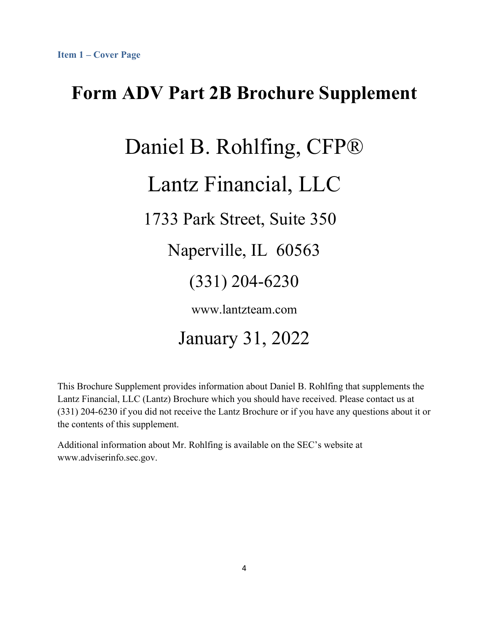# **Form ADV Part 2B Brochure Supplement**

# Daniel B. Rohlfing, CFP®

# Lantz Financial, LLC

1733 Park Street, Suite 350

Naperville, IL 60563

### (331) 204-6230

www.lantzteam.com

# January 31, 2022

This Brochure Supplement provides information about Daniel B. Rohlfing that supplements the Lantz Financial, LLC (Lantz) Brochure which you should have received. Please contact us at (331) 204-6230 if you did not receive the Lantz Brochure or if you have any questions about it or the contents of this supplement.

Additional information about Mr. Rohlfing is available on the SEC's website at www.adviserinfo.sec.gov.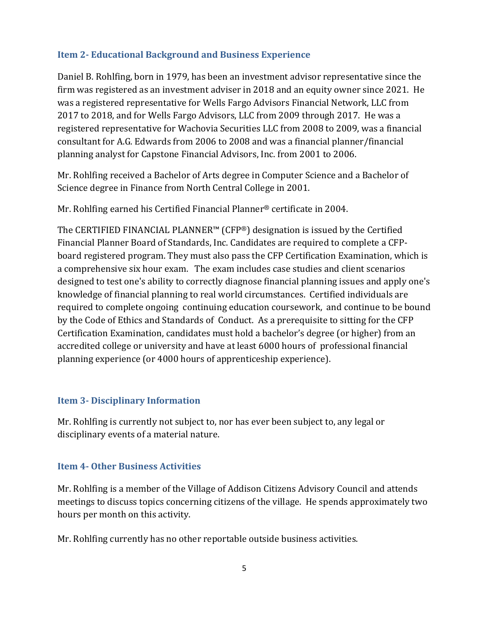### **Item 2‐ Educational Background and Business Experience**

Daniel B. Rohlfing, born in 1979, has been an investment advisor representative since the firm was registered as an investment adviser in 2018 and an equity owner since 2021. He was a registered representative for Wells Fargo Advisors Financial Network, LLC from 2017 to 2018, and for Wells Fargo Advisors, LLC from 2009 through 2017. He was a registered representative for Wachovia Securities LLC from 2008 to 2009, was a financial consultant for A.G. Edwards from 2006 to 2008 and was a financial planner/financial planning analyst for Capstone Financial Advisors, Inc. from 2001 to 2006.

Mr. Rohlfing received a Bachelor of Arts degree in Computer Science and a Bachelor of Science degree in Finance from North Central College in 2001.

Mr. Rohlfing earned his Certified Financial Planner® certificate in 2004.

The CERTIFIED FINANCIAL PLANNER™ (CFP®) designation is issued by the Certified Financial Planner Board of Standards, Inc. Candidates are required to complete a CFPboard registered program. They must also pass the CFP Certification Examination, which is a comprehensive six hour exam. The exam includes case studies and client scenarios designed to test one's ability to correctly diagnose financial planning issues and apply one's knowledge of financial planning to real world circumstances. Certified individuals are required to complete ongoing continuing education coursework, and continue to be bound by the Code of Ethics and Standards of Conduct. As a prerequisite to sitting for the CFP Certification Examination, candidates must hold a bachelor's degree (or higher) from an accredited college or university and have at least 6000 hours of professional financial planning experience (or 4000 hours of apprenticeship experience).

### **Item 3‐ Disciplinary Information**

Mr. Rohlfing is currently not subject to, nor has ever been subject to, any legal or disciplinary events of a material nature.

### **Item 4‐ Other Business Activities**

Mr. Rohlfing is a member of the Village of Addison Citizens Advisory Council and attends meetings to discuss topics concerning citizens of the village. He spends approximately two hours per month on this activity.

Mr. Rohlfing currently has no other reportable outside business activities.